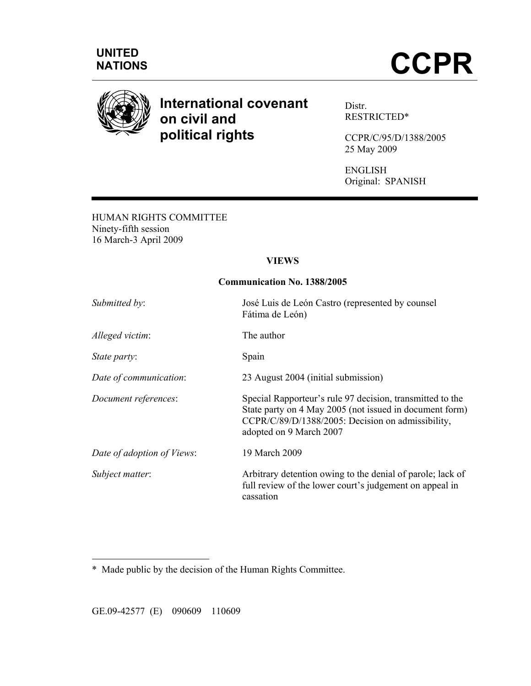

# **International covenant on civil and political rights**

Distr. RESTRICTED\*

CCPR/C/95/D/1388/2005 25 May 2009

ENGLISH Original: SPANISH

HUMAN RIGHTS COMMITTEE Ninety-fifth session 16 March-3 April 2009

# **VIEWS**

#### **Communication No. 1388/2005**

| José Luis de León Castro (represented by counsel<br>Fátima de León)                                                                                                                                  |
|------------------------------------------------------------------------------------------------------------------------------------------------------------------------------------------------------|
| The author                                                                                                                                                                                           |
| Spain                                                                                                                                                                                                |
| 23 August 2004 (initial submission)                                                                                                                                                                  |
| Special Rapporteur's rule 97 decision, transmitted to the<br>State party on 4 May 2005 (not issued in document form)<br>CCPR/C/89/D/1388/2005: Decision on admissibility,<br>adopted on 9 March 2007 |
| 19 March 2009                                                                                                                                                                                        |
| Arbitrary detention owing to the denial of parole; lack of<br>full review of the lower court's judgement on appeal in<br>cassation                                                                   |
|                                                                                                                                                                                                      |

\* Made public by the decision of the Human Rights Committee.

GE.09-42577 (E) 090609 110609

 $\overline{a}$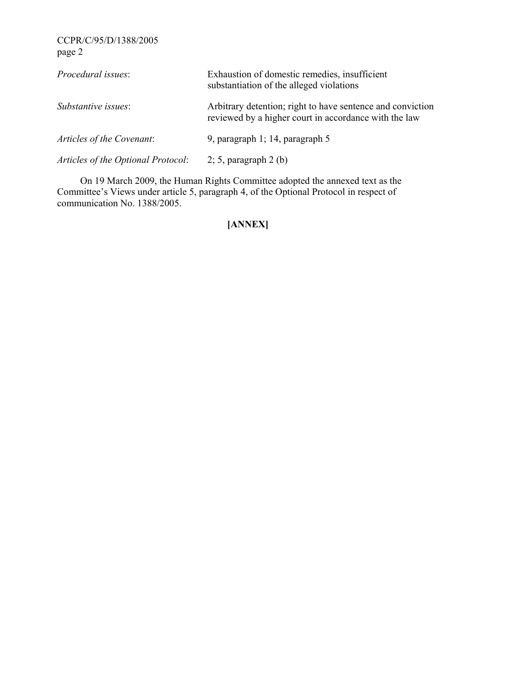| Procedural issues:                 | Exhaustion of domestic remedies, insufficient<br>substantiation of the alleged violations                           |
|------------------------------------|---------------------------------------------------------------------------------------------------------------------|
| Substantive issues:                | Arbitrary detention; right to have sentence and conviction<br>reviewed by a higher court in accordance with the law |
| Articles of the Covenant:          | 9, paragraph 1; 14, paragraph 5                                                                                     |
| Articles of the Optional Protocol: | $2; 5$ , paragraph $2(b)$                                                                                           |

 On 19 March 2009, the Human Rights Committee adopted the annexed text as the Committee's Views under article 5, paragraph 4, of the Optional Protocol in respect of communication No. 1388/2005.

# **[ANNEX]**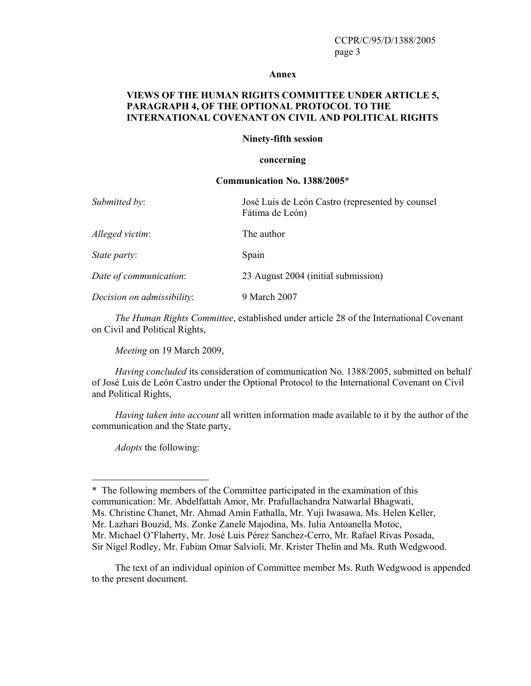#### **Annex**

#### **VIEWS OF THE HUMAN RIGHTS COMMITTEE UNDER ARTICLE 5, PARAGRAPH 4, OF THE OPTIONAL PROTOCOL TO THE INTERNATIONAL COVENANT ON CIVIL AND POLITICAL RIGHTS**

#### **Ninety-fifth session**

#### **concerning**

#### **Communication No. 1388/2005**\*

| José Luis de León Castro (represented by counsel<br>Fátima de León) |
|---------------------------------------------------------------------|
| The author                                                          |
| Spain                                                               |
| 23 August 2004 (initial submission)                                 |
| 9 March 2007                                                        |
|                                                                     |

*The Human Rights Committee*, established under article 28 of the International Covenant on Civil and Political Rights,

*Meeting* on 19 March 2009,

*Having concluded* its consideration of communication No. 1388/2005, submitted on behalf of José Luis de León Castro under the Optional Protocol to the International Covenant on Civil and Political Rights,

*Having taken into account* all written information made available to it by the author of the communication and the State party,

*Adopts* the following:

 $\overline{a}$ 

\* The following members of the Committee participated in the examination of this communication: Mr. Abdelfattah Amor, Mr. Prafullachandra Natwarlal Bhagwati, Ms. Christine Chanet, Mr. Ahmad Amin Fathalla, Mr. Yuji Iwasawa, Ms. Helen Keller, Mr. Lazhari Bouzid, Ms. Zonke Zanele Majodina, Ms. Iulia Antoanella Motoc, Mr. Michael O'Flaherty, Mr. José Luis Pérez Sanchez-Cerro, Mr. Rafael Rivas Posada, Sir Nigel Rodley, Mr. Fabian Omar Salvioli, Mr. Krister Thelin and Ms. Ruth Wedgwood.

 The text of an individual opinion of Committee member Ms. Ruth Wedgwood is appended to the present document.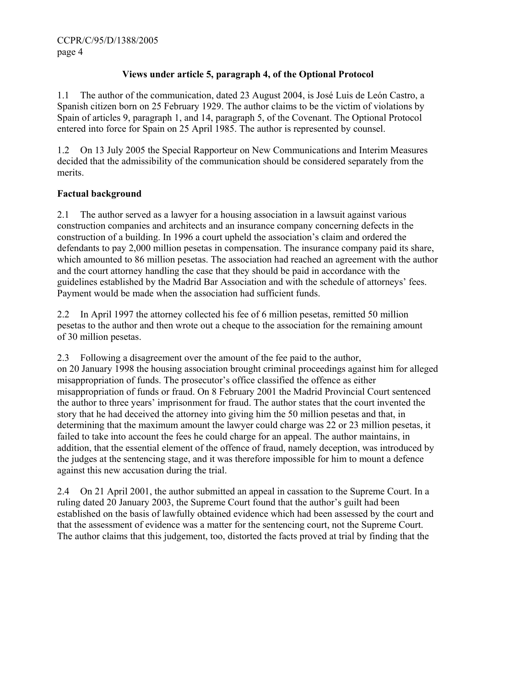# **Views under article 5, paragraph 4, of the Optional Protocol**

1.1 The author of the communication, dated 23 August 2004, is José Luis de León Castro, a Spanish citizen born on 25 February 1929. The author claims to be the victim of violations by Spain of articles 9, paragraph 1, and 14, paragraph 5, of the Covenant. The Optional Protocol entered into force for Spain on 25 April 1985. The author is represented by counsel.

1.2 On 13 July 2005 the Special Rapporteur on New Communications and Interim Measures decided that the admissibility of the communication should be considered separately from the merits.

# **Factual background**

2.1 The author served as a lawyer for a housing association in a lawsuit against various construction companies and architects and an insurance company concerning defects in the construction of a building. In 1996 a court upheld the association's claim and ordered the defendants to pay 2,000 million pesetas in compensation. The insurance company paid its share, which amounted to 86 million pesetas. The association had reached an agreement with the author and the court attorney handling the case that they should be paid in accordance with the guidelines established by the Madrid Bar Association and with the schedule of attorneys' fees. Payment would be made when the association had sufficient funds.

2.2 In April 1997 the attorney collected his fee of 6 million pesetas, remitted 50 million pesetas to the author and then wrote out a cheque to the association for the remaining amount of 30 million pesetas.

2.3 Following a disagreement over the amount of the fee paid to the author, on 20 January 1998 the housing association brought criminal proceedings against him for alleged misappropriation of funds. The prosecutor's office classified the offence as either misappropriation of funds or fraud. On 8 February 2001 the Madrid Provincial Court sentenced the author to three years' imprisonment for fraud. The author states that the court invented the story that he had deceived the attorney into giving him the 50 million pesetas and that, in determining that the maximum amount the lawyer could charge was 22 or 23 million pesetas, it failed to take into account the fees he could charge for an appeal. The author maintains, in addition, that the essential element of the offence of fraud, namely deception, was introduced by the judges at the sentencing stage, and it was therefore impossible for him to mount a defence against this new accusation during the trial.

2.4 On 21 April 2001, the author submitted an appeal in cassation to the Supreme Court. In a ruling dated 20 January 2003, the Supreme Court found that the author's guilt had been established on the basis of lawfully obtained evidence which had been assessed by the court and that the assessment of evidence was a matter for the sentencing court, not the Supreme Court. The author claims that this judgement, too, distorted the facts proved at trial by finding that the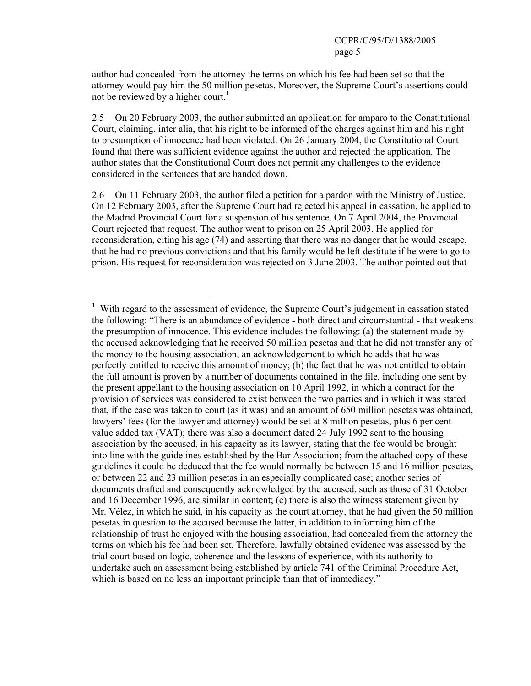author had concealed from the attorney the terms on which his fee had been set so that the attorney would pay him the 50 million pesetas. Moreover, the Supreme Court's assertions could not be reviewed by a higher court.**<sup>1</sup>**

2.5 On 20 February 2003, the author submitted an application for amparo to the Constitutional Court, claiming, inter alia, that his right to be informed of the charges against him and his right to presumption of innocence had been violated. On 26 January 2004, the Constitutional Court found that there was sufficient evidence against the author and rejected the application. The author states that the Constitutional Court does not permit any challenges to the evidence considered in the sentences that are handed down.

2.6 On 11 February 2003, the author filed a petition for a pardon with the Ministry of Justice. On 12 February 2003, after the Supreme Court had rejected his appeal in cassation, he applied to the Madrid Provincial Court for a suspension of his sentence. On 7 April 2004, the Provincial Court rejected that request. The author went to prison on 25 April 2003. He applied for reconsideration, citing his age (74) and asserting that there was no danger that he would escape, that he had no previous convictions and that his family would be left destitute if he were to go to prison. His request for reconsideration was rejected on 3 June 2003. The author pointed out that

 $\overline{a}$ 

<sup>&</sup>lt;sup>1</sup> With regard to the assessment of evidence, the Supreme Court's judgement in cassation stated the following: "There is an abundance of evidence - both direct and circumstantial - that weakens the presumption of innocence. This evidence includes the following: (a) the statement made by the accused acknowledging that he received 50 million pesetas and that he did not transfer any of the money to the housing association, an acknowledgement to which he adds that he was perfectly entitled to receive this amount of money; (b) the fact that he was not entitled to obtain the full amount is proven by a number of documents contained in the file, including one sent by the present appellant to the housing association on 10 April 1992, in which a contract for the provision of services was considered to exist between the two parties and in which it was stated that, if the case was taken to court (as it was) and an amount of 650 million pesetas was obtained, lawyers' fees (for the lawyer and attorney) would be set at 8 million pesetas, plus 6 per cent value added tax (VAT); there was also a document dated 24 July 1992 sent to the housing association by the accused, in his capacity as its lawyer, stating that the fee would be brought into line with the guidelines established by the Bar Association; from the attached copy of these guidelines it could be deduced that the fee would normally be between 15 and 16 million pesetas, or between 22 and 23 million pesetas in an especially complicated case; another series of documents drafted and consequently acknowledged by the accused, such as those of 31 October and 16 December 1996, are similar in content; (c) there is also the witness statement given by Mr. Vélez, in which he said, in his capacity as the court attorney, that he had given the 50 million pesetas in question to the accused because the latter, in addition to informing him of the relationship of trust he enjoyed with the housing association, had concealed from the attorney the terms on which his fee had been set. Therefore, lawfully obtained evidence was assessed by the trial court based on logic, coherence and the lessons of experience, with its authority to undertake such an assessment being established by article 741 of the Criminal Procedure Act, which is based on no less an important principle than that of immediacy."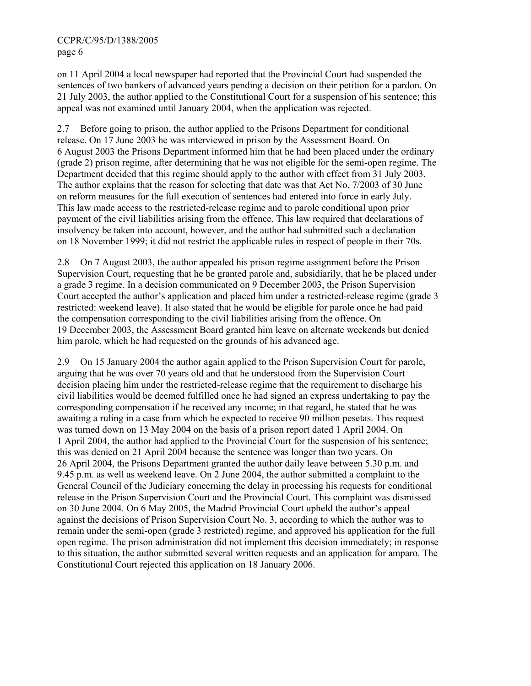on 11 April 2004 a local newspaper had reported that the Provincial Court had suspended the sentences of two bankers of advanced years pending a decision on their petition for a pardon. On 21 July 2003, the author applied to the Constitutional Court for a suspension of his sentence; this appeal was not examined until January 2004, when the application was rejected.

2.7 Before going to prison, the author applied to the Prisons Department for conditional release. On 17 June 2003 he was interviewed in prison by the Assessment Board. On 6 August 2003 the Prisons Department informed him that he had been placed under the ordinary (grade 2) prison regime, after determining that he was not eligible for the semi-open regime. The Department decided that this regime should apply to the author with effect from 31 July 2003. The author explains that the reason for selecting that date was that Act No. 7/2003 of 30 June on reform measures for the full execution of sentences had entered into force in early July. This law made access to the restricted-release regime and to parole conditional upon prior payment of the civil liabilities arising from the offence. This law required that declarations of insolvency be taken into account, however, and the author had submitted such a declaration on 18 November 1999; it did not restrict the applicable rules in respect of people in their 70s.

2.8 On 7 August 2003, the author appealed his prison regime assignment before the Prison Supervision Court, requesting that he be granted parole and, subsidiarily, that he be placed under a grade 3 regime. In a decision communicated on 9 December 2003, the Prison Supervision Court accepted the author's application and placed him under a restricted-release regime (grade 3 restricted: weekend leave). It also stated that he would be eligible for parole once he had paid the compensation corresponding to the civil liabilities arising from the offence. On 19 December 2003, the Assessment Board granted him leave on alternate weekends but denied him parole, which he had requested on the grounds of his advanced age.

2.9 On 15 January 2004 the author again applied to the Prison Supervision Court for parole, arguing that he was over 70 years old and that he understood from the Supervision Court decision placing him under the restricted-release regime that the requirement to discharge his civil liabilities would be deemed fulfilled once he had signed an express undertaking to pay the corresponding compensation if he received any income; in that regard, he stated that he was awaiting a ruling in a case from which he expected to receive 90 million pesetas. This request was turned down on 13 May 2004 on the basis of a prison report dated 1 April 2004. On 1 April 2004, the author had applied to the Provincial Court for the suspension of his sentence; this was denied on 21 April 2004 because the sentence was longer than two years. On 26 April 2004, the Prisons Department granted the author daily leave between 5.30 p.m. and 9.45 p.m. as well as weekend leave. On 2 June 2004, the author submitted a complaint to the General Council of the Judiciary concerning the delay in processing his requests for conditional release in the Prison Supervision Court and the Provincial Court. This complaint was dismissed on 30 June 2004. On 6 May 2005, the Madrid Provincial Court upheld the author's appeal against the decisions of Prison Supervision Court No. 3, according to which the author was to remain under the semi-open (grade 3 restricted) regime, and approved his application for the full open regime. The prison administration did not implement this decision immediately; in response to this situation, the author submitted several written requests and an application for amparo*.* The Constitutional Court rejected this application on 18 January 2006.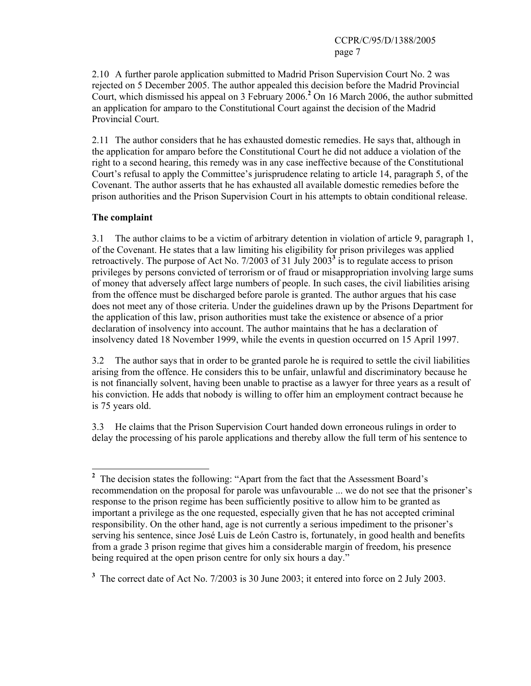2.10 A further parole application submitted to Madrid Prison Supervision Court No. 2 was rejected on 5 December 2005. The author appealed this decision before the Madrid Provincial Court, which dismissed his appeal on 3 February 2006.**<sup>2</sup>** On 16 March 2006, the author submitted an application for amparo to the Constitutional Court against the decision of the Madrid Provincial Court.

2.11 The author considers that he has exhausted domestic remedies. He says that, although in the application for amparo before the Constitutional Court he did not adduce a violation of the right to a second hearing, this remedy was in any case ineffective because of the Constitutional Court's refusal to apply the Committee's jurisprudence relating to article 14, paragraph 5, of the Covenant. The author asserts that he has exhausted all available domestic remedies before the prison authorities and the Prison Supervision Court in his attempts to obtain conditional release.

# **The complaint**

3.1 The author claims to be a victim of arbitrary detention in violation of article 9, paragraph 1, of the Covenant. He states that a law limiting his eligibility for prison privileges was applied retroactively. The purpose of Act No. 7/2003 of 31 July 2003**<sup>3</sup>** is to regulate access to prison privileges by persons convicted of terrorism or of fraud or misappropriation involving large sums of money that adversely affect large numbers of people. In such cases, the civil liabilities arising from the offence must be discharged before parole is granted. The author argues that his case does not meet any of those criteria. Under the guidelines drawn up by the Prisons Department for the application of this law, prison authorities must take the existence or absence of a prior declaration of insolvency into account. The author maintains that he has a declaration of insolvency dated 18 November 1999, while the events in question occurred on 15 April 1997.

3.2 The author says that in order to be granted parole he is required to settle the civil liabilities arising from the offence. He considers this to be unfair, unlawful and discriminatory because he is not financially solvent, having been unable to practise as a lawyer for three years as a result of his conviction. He adds that nobody is willing to offer him an employment contract because he is 75 years old.

3.3 He claims that the Prison Supervision Court handed down erroneous rulings in order to delay the processing of his parole applications and thereby allow the full term of his sentence to

<sup>&</sup>lt;sup>2</sup> The decision states the following: "Apart from the fact that the Assessment Board's recommendation on the proposal for parole was unfavourable ... we do not see that the prisoner's response to the prison regime has been sufficiently positive to allow him to be granted as important a privilege as the one requested, especially given that he has not accepted criminal responsibility. On the other hand, age is not currently a serious impediment to the prisoner's serving his sentence, since José Luis de León Castro is, fortunately, in good health and benefits from a grade 3 prison regime that gives him a considerable margin of freedom, his presence being required at the open prison centre for only six hours a day."

<sup>&</sup>lt;sup>3</sup> The correct date of Act No. 7/2003 is 30 June 2003; it entered into force on 2 July 2003.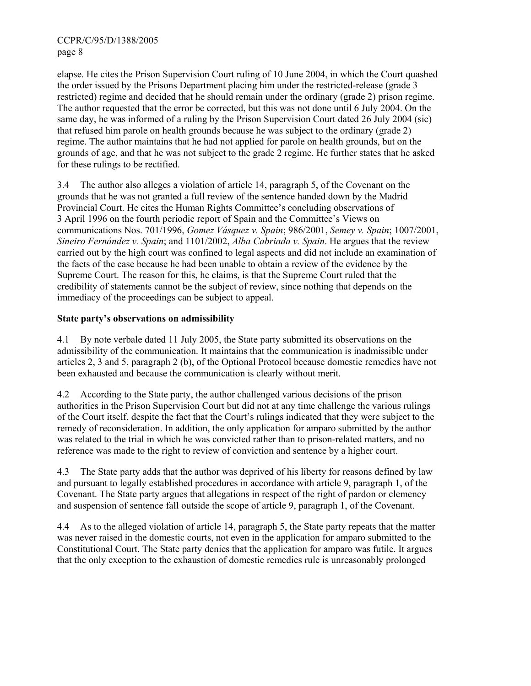elapse. He cites the Prison Supervision Court ruling of 10 June 2004, in which the Court quashed the order issued by the Prisons Department placing him under the restricted-release (grade 3 restricted) regime and decided that he should remain under the ordinary (grade 2) prison regime. The author requested that the error be corrected, but this was not done until 6 July 2004. On the same day, he was informed of a ruling by the Prison Supervision Court dated 26 July 2004 (sic) that refused him parole on health grounds because he was subject to the ordinary (grade 2) regime. The author maintains that he had not applied for parole on health grounds, but on the grounds of age, and that he was not subject to the grade 2 regime. He further states that he asked for these rulings to be rectified.

3.4 The author also alleges a violation of article 14, paragraph 5, of the Covenant on the grounds that he was not granted a full review of the sentence handed down by the Madrid Provincial Court. He cites the Human Rights Committee's concluding observations of 3 April 1996 on the fourth periodic report of Spain and the Committee's Views on communications Nos. 701/1996, *Gomez Vásquez v. Spain*; 986/2001, *Semey v. Spain*; 1007/2001, *Sineiro Fernández v. Spain*; and 1101/2002, *Alba Cabriada v. Spain*. He argues that the review carried out by the high court was confined to legal aspects and did not include an examination of the facts of the case because he had been unable to obtain a review of the evidence by the Supreme Court. The reason for this, he claims, is that the Supreme Court ruled that the credibility of statements cannot be the subject of review, since nothing that depends on the immediacy of the proceedings can be subject to appeal.

# **State party's observations on admissibility**

4.1 By note verbale dated 11 July 2005, the State party submitted its observations on the admissibility of the communication. It maintains that the communication is inadmissible under articles 2, 3 and 5, paragraph 2 (b), of the Optional Protocol because domestic remedies have not been exhausted and because the communication is clearly without merit.

4.2 According to the State party, the author challenged various decisions of the prison authorities in the Prison Supervision Court but did not at any time challenge the various rulings of the Court itself, despite the fact that the Court's rulings indicated that they were subject to the remedy of reconsideration. In addition, the only application for amparo submitted by the author was related to the trial in which he was convicted rather than to prison-related matters, and no reference was made to the right to review of conviction and sentence by a higher court.

4.3 The State party adds that the author was deprived of his liberty for reasons defined by law and pursuant to legally established procedures in accordance with article 9, paragraph 1, of the Covenant. The State party argues that allegations in respect of the right of pardon or clemency and suspension of sentence fall outside the scope of article 9, paragraph 1, of the Covenant.

4.4 As to the alleged violation of article 14, paragraph 5, the State party repeats that the matter was never raised in the domestic courts, not even in the application for amparo submitted to the Constitutional Court. The State party denies that the application for amparo was futile. It argues that the only exception to the exhaustion of domestic remedies rule is unreasonably prolonged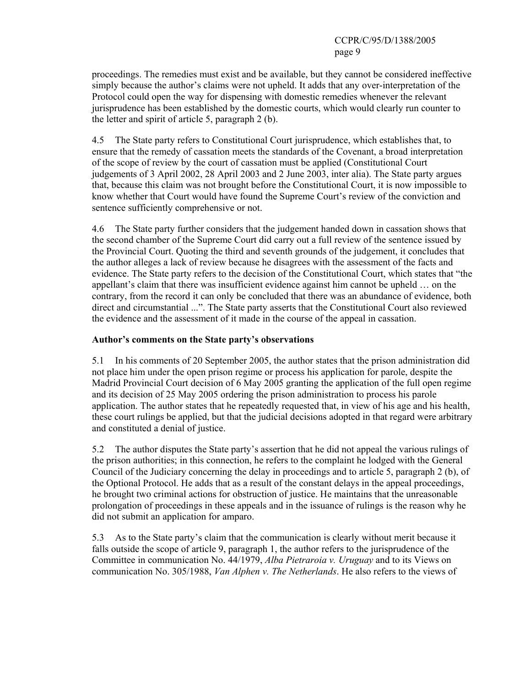proceedings. The remedies must exist and be available, but they cannot be considered ineffective simply because the author's claims were not upheld. It adds that any over-interpretation of the Protocol could open the way for dispensing with domestic remedies whenever the relevant jurisprudence has been established by the domestic courts, which would clearly run counter to the letter and spirit of article 5, paragraph 2 (b).

4.5 The State party refers to Constitutional Court jurisprudence, which establishes that, to ensure that the remedy of cassation meets the standards of the Covenant, a broad interpretation of the scope of review by the court of cassation must be applied (Constitutional Court judgements of 3 April 2002, 28 April 2003 and 2 June 2003, inter alia). The State party argues that, because this claim was not brought before the Constitutional Court, it is now impossible to know whether that Court would have found the Supreme Court's review of the conviction and sentence sufficiently comprehensive or not.

4.6 The State party further considers that the judgement handed down in cassation shows that the second chamber of the Supreme Court did carry out a full review of the sentence issued by the Provincial Court. Quoting the third and seventh grounds of the judgement, it concludes that the author alleges a lack of review because he disagrees with the assessment of the facts and evidence. The State party refers to the decision of the Constitutional Court, which states that "the appellant's claim that there was insufficient evidence against him cannot be upheld … on the contrary, from the record it can only be concluded that there was an abundance of evidence, both direct and circumstantial ...". The State party asserts that the Constitutional Court also reviewed the evidence and the assessment of it made in the course of the appeal in cassation.

# **Author's comments on the State party's observations**

5.1 In his comments of 20 September 2005, the author states that the prison administration did not place him under the open prison regime or process his application for parole, despite the Madrid Provincial Court decision of 6 May 2005 granting the application of the full open regime and its decision of 25 May 2005 ordering the prison administration to process his parole application. The author states that he repeatedly requested that, in view of his age and his health, these court rulings be applied, but that the judicial decisions adopted in that regard were arbitrary and constituted a denial of justice.

5.2 The author disputes the State party's assertion that he did not appeal the various rulings of the prison authorities; in this connection, he refers to the complaint he lodged with the General Council of the Judiciary concerning the delay in proceedings and to article 5, paragraph 2 (b), of the Optional Protocol. He adds that as a result of the constant delays in the appeal proceedings, he brought two criminal actions for obstruction of justice. He maintains that the unreasonable prolongation of proceedings in these appeals and in the issuance of rulings is the reason why he did not submit an application for amparo.

5.3 As to the State party's claim that the communication is clearly without merit because it falls outside the scope of article 9, paragraph 1, the author refers to the jurisprudence of the Committee in communication No. 44/1979, *Alba Pietraroia v. Uruguay* and to its Views on communication No. 305/1988, *Van Alphen v. The Netherlands*. He also refers to the views of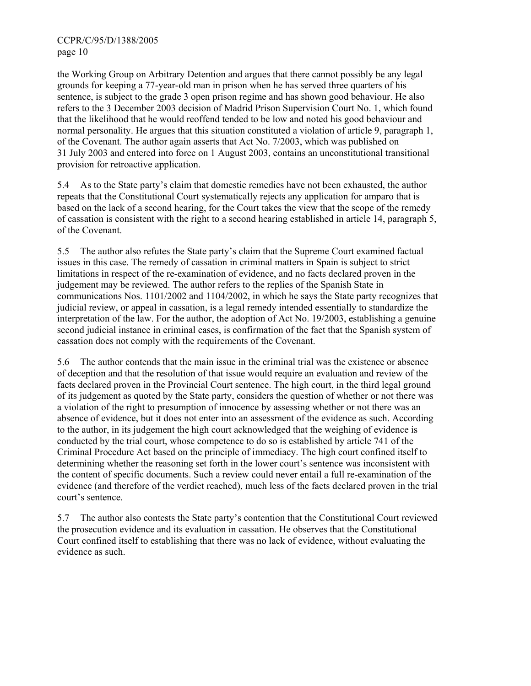the Working Group on Arbitrary Detention and argues that there cannot possibly be any legal grounds for keeping a 77-year-old man in prison when he has served three quarters of his sentence, is subject to the grade 3 open prison regime and has shown good behaviour. He also refers to the 3 December 2003 decision of Madrid Prison Supervision Court No. 1, which found that the likelihood that he would reoffend tended to be low and noted his good behaviour and normal personality. He argues that this situation constituted a violation of article 9, paragraph 1, of the Covenant. The author again asserts that Act No. 7/2003, which was published on 31 July 2003 and entered into force on 1 August 2003, contains an unconstitutional transitional provision for retroactive application.

5.4 As to the State party's claim that domestic remedies have not been exhausted, the author repeats that the Constitutional Court systematically rejects any application for amparo that is based on the lack of a second hearing, for the Court takes the view that the scope of the remedy of cassation is consistent with the right to a second hearing established in article 14, paragraph 5, of the Covenant.

5.5 The author also refutes the State party's claim that the Supreme Court examined factual issues in this case. The remedy of cassation in criminal matters in Spain is subject to strict limitations in respect of the re-examination of evidence, and no facts declared proven in the judgement may be reviewed. The author refers to the replies of the Spanish State in communications Nos. 1101/2002 and 1104/2002, in which he says the State party recognizes that judicial review, or appeal in cassation, is a legal remedy intended essentially to standardize the interpretation of the law. For the author, the adoption of Act No. 19/2003, establishing a genuine second judicial instance in criminal cases, is confirmation of the fact that the Spanish system of cassation does not comply with the requirements of the Covenant.

5.6 The author contends that the main issue in the criminal trial was the existence or absence of deception and that the resolution of that issue would require an evaluation and review of the facts declared proven in the Provincial Court sentence. The high court, in the third legal ground of its judgement as quoted by the State party, considers the question of whether or not there was a violation of the right to presumption of innocence by assessing whether or not there was an absence of evidence, but it does not enter into an assessment of the evidence as such. According to the author, in its judgement the high court acknowledged that the weighing of evidence is conducted by the trial court, whose competence to do so is established by article 741 of the Criminal Procedure Act based on the principle of immediacy. The high court confined itself to determining whether the reasoning set forth in the lower court's sentence was inconsistent with the content of specific documents. Such a review could never entail a full re-examination of the evidence (and therefore of the verdict reached), much less of the facts declared proven in the trial court's sentence.

5.7 The author also contests the State party's contention that the Constitutional Court reviewed the prosecution evidence and its evaluation in cassation. He observes that the Constitutional Court confined itself to establishing that there was no lack of evidence, without evaluating the evidence as such.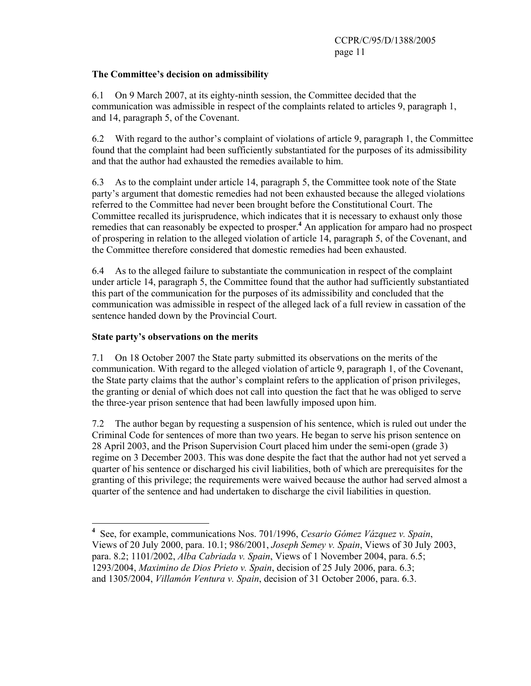## **The Committee's decision on admissibility**

6.1 On 9 March 2007, at its eighty-ninth session, the Committee decided that the communication was admissible in respect of the complaints related to articles 9, paragraph 1, and 14, paragraph 5, of the Covenant.

6.2 With regard to the author's complaint of violations of article 9, paragraph 1, the Committee found that the complaint had been sufficiently substantiated for the purposes of its admissibility and that the author had exhausted the remedies available to him.

6.3 As to the complaint under article 14, paragraph 5, the Committee took note of the State party's argument that domestic remedies had not been exhausted because the alleged violations referred to the Committee had never been brought before the Constitutional Court. The Committee recalled its jurisprudence, which indicates that it is necessary to exhaust only those remedies that can reasonably be expected to prosper.<sup>4</sup> An application for amparo had no prospect of prospering in relation to the alleged violation of article 14, paragraph 5, of the Covenant, and the Committee therefore considered that domestic remedies had been exhausted.

6.4 As to the alleged failure to substantiate the communication in respect of the complaint under article 14, paragraph 5, the Committee found that the author had sufficiently substantiated this part of the communication for the purposes of its admissibility and concluded that the communication was admissible in respect of the alleged lack of a full review in cassation of the sentence handed down by the Provincial Court.

### **State party's observations on the merits**

7.1 On 18 October 2007 the State party submitted its observations on the merits of the communication. With regard to the alleged violation of article 9, paragraph 1, of the Covenant, the State party claims that the author's complaint refers to the application of prison privileges, the granting or denial of which does not call into question the fact that he was obliged to serve the three-year prison sentence that had been lawfully imposed upon him.

7.2 The author began by requesting a suspension of his sentence, which is ruled out under the Criminal Code for sentences of more than two years. He began to serve his prison sentence on 28 April 2003, and the Prison Supervision Court placed him under the semi-open (grade 3) regime on 3 December 2003. This was done despite the fact that the author had not yet served a quarter of his sentence or discharged his civil liabilities, both of which are prerequisites for the granting of this privilege; the requirements were waived because the author had served almost a quarter of the sentence and had undertaken to discharge the civil liabilities in question.

 **4** See, for example, communications Nos. 701/1996, *Cesario Gómez Vázquez v. Spain*, Views of 20 July 2000, para. 10.1; 986/2001, *Joseph Semey v. Spain*, Views of 30 July 2003, para. 8.2; 1101/2002, *Alba Cabriada v. Spain*, Views of 1 November 2004, para. 6.5; 1293/2004, *Maximino de Dios Prieto v. Spain*, decision of 25 July 2006, para. 6.3; and 1305/2004, *Villamón Ventura v. Spain*, decision of 31 October 2006, para. 6.3.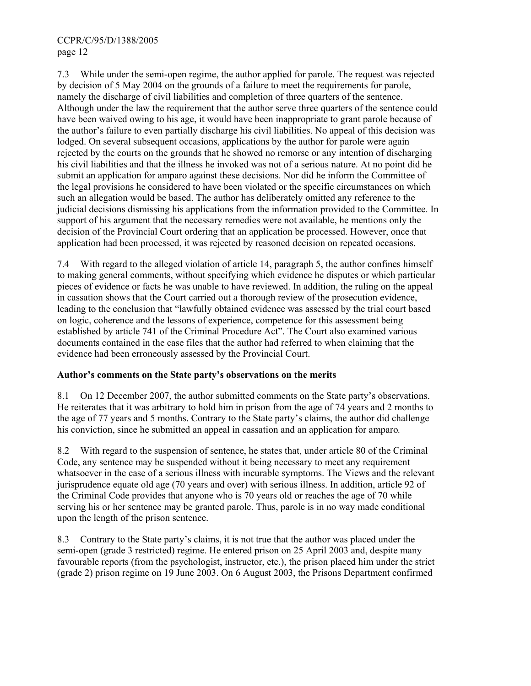7.3 While under the semi-open regime, the author applied for parole. The request was rejected by decision of 5 May 2004 on the grounds of a failure to meet the requirements for parole, namely the discharge of civil liabilities and completion of three quarters of the sentence. Although under the law the requirement that the author serve three quarters of the sentence could have been waived owing to his age, it would have been inappropriate to grant parole because of the author's failure to even partially discharge his civil liabilities. No appeal of this decision was lodged. On several subsequent occasions, applications by the author for parole were again rejected by the courts on the grounds that he showed no remorse or any intention of discharging his civil liabilities and that the illness he invoked was not of a serious nature. At no point did he submit an application for amparo against these decisions. Nor did he inform the Committee of the legal provisions he considered to have been violated or the specific circumstances on which such an allegation would be based. The author has deliberately omitted any reference to the judicial decisions dismissing his applications from the information provided to the Committee. In support of his argument that the necessary remedies were not available, he mentions only the decision of the Provincial Court ordering that an application be processed. However, once that application had been processed, it was rejected by reasoned decision on repeated occasions.

7.4 With regard to the alleged violation of article 14, paragraph 5, the author confines himself to making general comments, without specifying which evidence he disputes or which particular pieces of evidence or facts he was unable to have reviewed. In addition, the ruling on the appeal in cassation shows that the Court carried out a thorough review of the prosecution evidence, leading to the conclusion that "lawfully obtained evidence was assessed by the trial court based on logic, coherence and the lessons of experience, competence for this assessment being established by article 741 of the Criminal Procedure Act". The Court also examined various documents contained in the case files that the author had referred to when claiming that the evidence had been erroneously assessed by the Provincial Court.

#### **Author's comments on the State party's observations on the merits**

8.1 On 12 December 2007, the author submitted comments on the State party's observations. He reiterates that it was arbitrary to hold him in prison from the age of 74 years and 2 months to the age of 77 years and 5 months. Contrary to the State party's claims, the author did challenge his conviction, since he submitted an appeal in cassation and an application for amparo*.*

8.2 With regard to the suspension of sentence, he states that, under article 80 of the Criminal Code, any sentence may be suspended without it being necessary to meet any requirement whatsoever in the case of a serious illness with incurable symptoms. The Views and the relevant jurisprudence equate old age (70 years and over) with serious illness. In addition, article 92 of the Criminal Code provides that anyone who is 70 years old or reaches the age of 70 while serving his or her sentence may be granted parole. Thus, parole is in no way made conditional upon the length of the prison sentence.

8.3 Contrary to the State party's claims, it is not true that the author was placed under the semi-open (grade 3 restricted) regime. He entered prison on 25 April 2003 and, despite many favourable reports (from the psychologist, instructor, etc.), the prison placed him under the strict (grade 2) prison regime on 19 June 2003. On 6 August 2003, the Prisons Department confirmed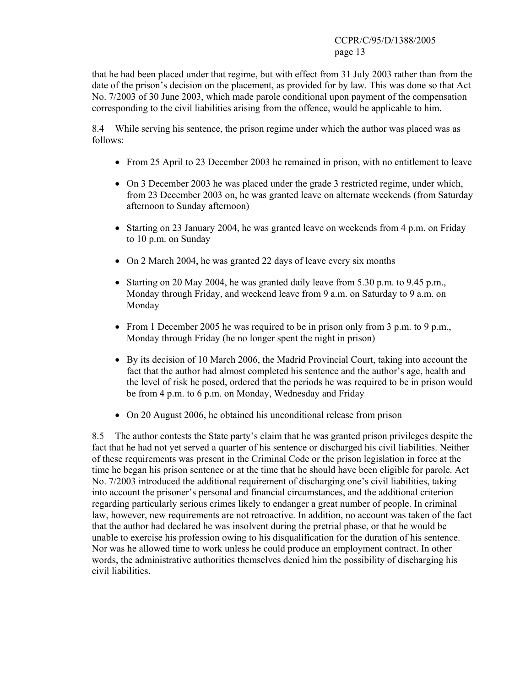that he had been placed under that regime, but with effect from 31 July 2003 rather than from the date of the prison's decision on the placement, as provided for by law. This was done so that Act No. 7/2003 of 30 June 2003, which made parole conditional upon payment of the compensation corresponding to the civil liabilities arising from the offence, would be applicable to him.

8.4 While serving his sentence, the prison regime under which the author was placed was as follows:

- From 25 April to 23 December 2003 he remained in prison, with no entitlement to leave
- On 3 December 2003 he was placed under the grade 3 restricted regime, under which, from 23 December 2003 on, he was granted leave on alternate weekends (from Saturday afternoon to Sunday afternoon)
- Starting on 23 January 2004, he was granted leave on weekends from 4 p.m. on Friday to 10 p.m. on Sunday
- On 2 March 2004, he was granted 22 days of leave every six months
- Starting on 20 May 2004, he was granted daily leave from 5.30 p.m. to 9.45 p.m., Monday through Friday, and weekend leave from 9 a.m. on Saturday to 9 a.m. on Monday
- From 1 December 2005 he was required to be in prison only from 3 p.m. to 9 p.m., Monday through Friday (he no longer spent the night in prison)
- By its decision of 10 March 2006, the Madrid Provincial Court, taking into account the fact that the author had almost completed his sentence and the author's age, health and the level of risk he posed, ordered that the periods he was required to be in prison would be from 4 p.m. to 6 p.m. on Monday, Wednesday and Friday
- On 20 August 2006, he obtained his unconditional release from prison

8.5 The author contests the State party's claim that he was granted prison privileges despite the fact that he had not yet served a quarter of his sentence or discharged his civil liabilities. Neither of these requirements was present in the Criminal Code or the prison legislation in force at the time he began his prison sentence or at the time that he should have been eligible for parole. Act No. 7/2003 introduced the additional requirement of discharging one's civil liabilities, taking into account the prisoner's personal and financial circumstances, and the additional criterion regarding particularly serious crimes likely to endanger a great number of people. In criminal law, however, new requirements are not retroactive. In addition, no account was taken of the fact that the author had declared he was insolvent during the pretrial phase, or that he would be unable to exercise his profession owing to his disqualification for the duration of his sentence. Nor was he allowed time to work unless he could produce an employment contract. In other words, the administrative authorities themselves denied him the possibility of discharging his civil liabilities.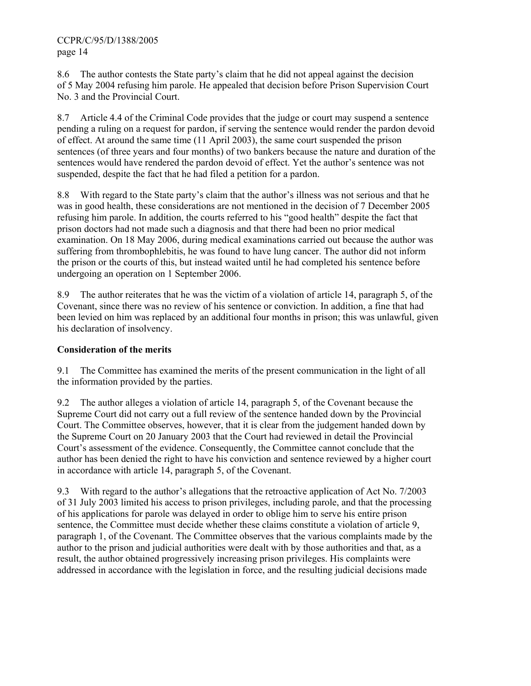8.6 The author contests the State party's claim that he did not appeal against the decision of 5 May 2004 refusing him parole. He appealed that decision before Prison Supervision Court No. 3 and the Provincial Court.

8.7 Article 4.4 of the Criminal Code provides that the judge or court may suspend a sentence pending a ruling on a request for pardon, if serving the sentence would render the pardon devoid of effect. At around the same time (11 April 2003), the same court suspended the prison sentences (of three years and four months) of two bankers because the nature and duration of the sentences would have rendered the pardon devoid of effect. Yet the author's sentence was not suspended, despite the fact that he had filed a petition for a pardon.

8.8 With regard to the State party's claim that the author's illness was not serious and that he was in good health, these considerations are not mentioned in the decision of 7 December 2005 refusing him parole. In addition, the courts referred to his "good health" despite the fact that prison doctors had not made such a diagnosis and that there had been no prior medical examination. On 18 May 2006, during medical examinations carried out because the author was suffering from thrombophlebitis, he was found to have lung cancer. The author did not inform the prison or the courts of this, but instead waited until he had completed his sentence before undergoing an operation on 1 September 2006.

8.9 The author reiterates that he was the victim of a violation of article 14, paragraph 5, of the Covenant, since there was no review of his sentence or conviction. In addition, a fine that had been levied on him was replaced by an additional four months in prison; this was unlawful, given his declaration of insolvency.

# **Consideration of the merits**

9.1 The Committee has examined the merits of the present communication in the light of all the information provided by the parties.

9.2 The author alleges a violation of article 14, paragraph 5, of the Covenant because the Supreme Court did not carry out a full review of the sentence handed down by the Provincial Court. The Committee observes, however, that it is clear from the judgement handed down by the Supreme Court on 20 January 2003 that the Court had reviewed in detail the Provincial Court's assessment of the evidence. Consequently, the Committee cannot conclude that the author has been denied the right to have his conviction and sentence reviewed by a higher court in accordance with article 14, paragraph 5, of the Covenant.

9.3 With regard to the author's allegations that the retroactive application of Act No. 7/2003 of 31 July 2003 limited his access to prison privileges, including parole, and that the processing of his applications for parole was delayed in order to oblige him to serve his entire prison sentence, the Committee must decide whether these claims constitute a violation of article 9, paragraph 1, of the Covenant. The Committee observes that the various complaints made by the author to the prison and judicial authorities were dealt with by those authorities and that, as a result, the author obtained progressively increasing prison privileges. His complaints were addressed in accordance with the legislation in force, and the resulting judicial decisions made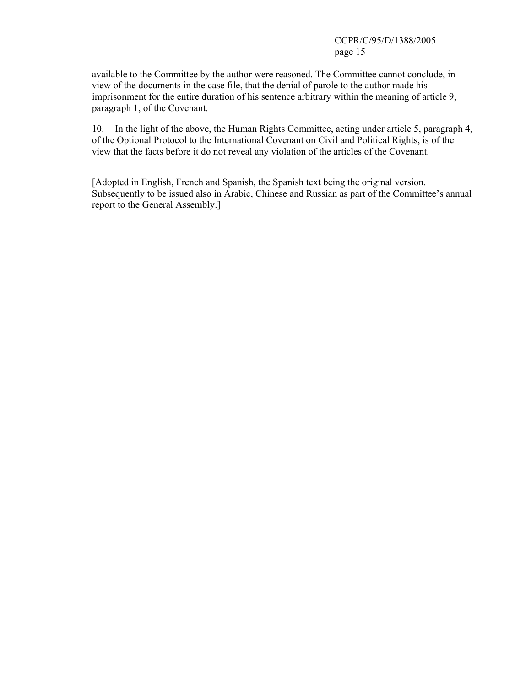available to the Committee by the author were reasoned. The Committee cannot conclude, in view of the documents in the case file, that the denial of parole to the author made his imprisonment for the entire duration of his sentence arbitrary within the meaning of article 9, paragraph 1, of the Covenant.

10. In the light of the above, the Human Rights Committee, acting under article 5, paragraph 4, of the Optional Protocol to the International Covenant on Civil and Political Rights, is of the view that the facts before it do not reveal any violation of the articles of the Covenant.

[Adopted in English, French and Spanish, the Spanish text being the original version. Subsequently to be issued also in Arabic, Chinese and Russian as part of the Committee's annual report to the General Assembly.]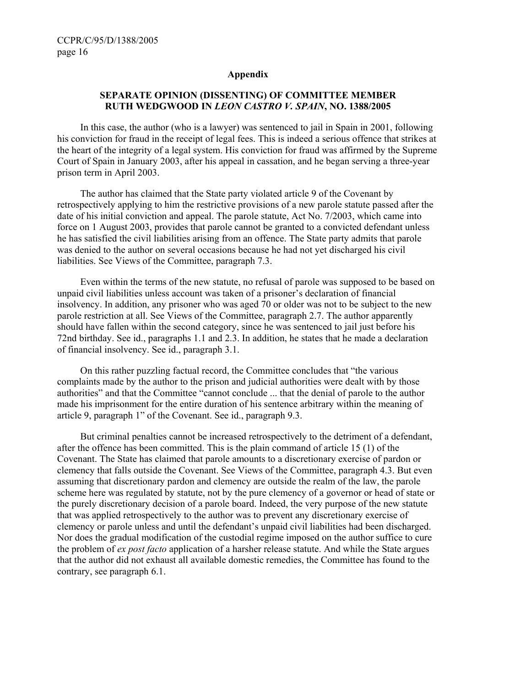#### **Appendix**

### **SEPARATE OPINION (DISSENTING) OF COMMITTEE MEMBER RUTH WEDGWOOD IN** *LEON CASTRO V. SPAIN***, NO. 1388/2005**

 In this case, the author (who is a lawyer) was sentenced to jail in Spain in 2001, following his conviction for fraud in the receipt of legal fees. This is indeed a serious offence that strikes at the heart of the integrity of a legal system. His conviction for fraud was affirmed by the Supreme Court of Spain in January 2003, after his appeal in cassation, and he began serving a three-year prison term in April 2003.

 The author has claimed that the State party violated article 9 of the Covenant by retrospectively applying to him the restrictive provisions of a new parole statute passed after the date of his initial conviction and appeal. The parole statute, Act No. 7/2003, which came into force on 1 August 2003, provides that parole cannot be granted to a convicted defendant unless he has satisfied the civil liabilities arising from an offence. The State party admits that parole was denied to the author on several occasions because he had not yet discharged his civil liabilities. See Views of the Committee, paragraph 7.3.

 Even within the terms of the new statute, no refusal of parole was supposed to be based on unpaid civil liabilities unless account was taken of a prisoner's declaration of financial insolvency. In addition, any prisoner who was aged 70 or older was not to be subject to the new parole restriction at all. See Views of the Committee, paragraph 2.7. The author apparently should have fallen within the second category, since he was sentenced to jail just before his 72nd birthday. See id., paragraphs 1.1 and 2.3. In addition, he states that he made a declaration of financial insolvency. See id., paragraph 3.1.

 On this rather puzzling factual record, the Committee concludes that "the various complaints made by the author to the prison and judicial authorities were dealt with by those authorities" and that the Committee "cannot conclude ... that the denial of parole to the author made his imprisonment for the entire duration of his sentence arbitrary within the meaning of article 9, paragraph 1" of the Covenant. See id., paragraph 9.3.

 But criminal penalties cannot be increased retrospectively to the detriment of a defendant, after the offence has been committed. This is the plain command of article 15 (1) of the Covenant. The State has claimed that parole amounts to a discretionary exercise of pardon or clemency that falls outside the Covenant. See Views of the Committee, paragraph 4.3. But even assuming that discretionary pardon and clemency are outside the realm of the law, the parole scheme here was regulated by statute, not by the pure clemency of a governor or head of state or the purely discretionary decision of a parole board. Indeed, the very purpose of the new statute that was applied retrospectively to the author was to prevent any discretionary exercise of clemency or parole unless and until the defendant's unpaid civil liabilities had been discharged. Nor does the gradual modification of the custodial regime imposed on the author suffice to cure the problem of *ex post facto* application of a harsher release statute. And while the State argues that the author did not exhaust all available domestic remedies, the Committee has found to the contrary, see paragraph 6.1.